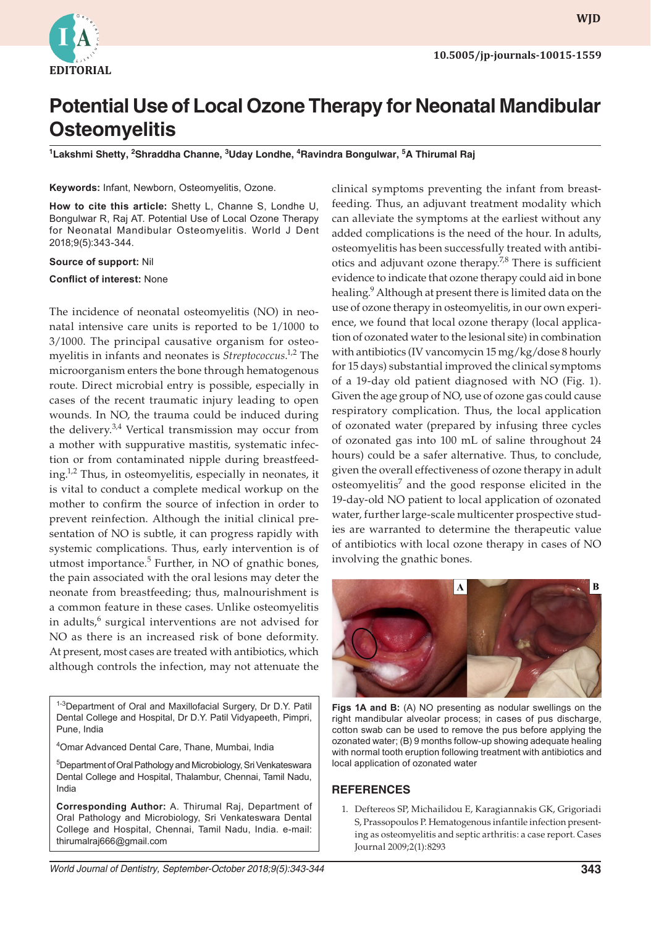

# **Potential Use of Local Ozone Therapy for Neonatal Mandibular Osteomyelitis**

<sup>1</sup>Lakshmi Shetty, <sup>2</sup>Shraddha Channe, <sup>3</sup>Uday Londhe, <sup>4</sup>Ravindra Bongulwar, <sup>5</sup>A Thirumal Raj

## **Keywords:** Infant, Newborn, Osteomyelitis, Ozone.

**How to cite this article:** Shetty L, Channe S, Londhe U, Bongulwar R, Raj AT. Potential Use of Local Ozone Therapy for Neonatal Mandibular Osteomyelitis. World J Dent 2018;9(5):343-344.

#### **Source of support:** Nil

## **Conflict of interest:** None

The incidence of neonatal osteomyelitis (NO) in neonatal intensive care units is reported to be 1/1000 to 3/1000. The principal causative organism for osteomyelitis in infants and neonates is *Streptococcus*. 1,2 The microorganism enters the bone through hematogenous route. Direct microbial entry is possible, especially in cases of the recent traumatic injury leading to open wounds. In NO, the trauma could be induced during the delivery.<sup>3,4</sup> Vertical transmission may occur from a mother with suppurative mastitis, systematic infection or from contaminated nipple during breastfeeding.1,2 Thus, in osteomyelitis, especially in neonates, it is vital to conduct a complete medical workup on the mother to confirm the source of infection in order to prevent reinfection. Although the initial clinical presentation of NO is subtle, it can progress rapidly with systemic complications. Thus, early intervention is of utmost importance.<sup>5</sup> Further, in NO of gnathic bones, the pain associated with the oral lesions may deter the neonate from breastfeeding; thus, malnourishment is a common feature in these cases. Unlike osteomyelitis in adults,<sup>6</sup> surgical interventions are not advised for NO as there is an increased risk of bone deformity. At present, most cases are treated with antibiotics, which although controls the infection, may not attenuate the

1-3Department of Oral and Maxillofacial Surgery, Dr D.Y. Patil Dental College and Hospital, Dr D.Y. Patil Vidyapeeth, Pimpri, Pune, India

4 Omar Advanced Dental Care, Thane, Mumbai, India

5 Department of Oral Pathology and Microbiology, Sri Venkateswara Dental College and Hospital, Thalambur, Chennai, Tamil Nadu, India

**Corresponding Author:** A. Thirumal Raj, Department of Oral Pathology and Microbiology, Sri Venkateswara Dental College and Hospital, Chennai, Tamil Nadu, India. e-mail: thirumalraj666@gmail.com

clinical symptoms preventing the infant from breastfeeding. Thus, an adjuvant treatment modality which can alleviate the symptoms at the earliest without any added complications is the need of the hour. In adults, osteomyelitis has been successfully treated with antibiotics and adjuvant ozone therapy.<sup>7,8</sup> There is sufficient evidence to indicate that ozone therapy could aid in bone healing.<sup>9</sup> Although at present there is limited data on the use of ozone therapy in osteomyelitis, in our own experience, we found that local ozone therapy (local application of ozonated water to the lesional site) in combination with antibiotics (IV vancomycin 15 mg/kg/dose 8 hourly for 15 days) substantial improved the clinical symptoms of a 19-day old patient diagnosed with NO (Fig. 1). Given the age group of NO, use of ozone gas could cause respiratory complication. Thus, the local application of ozonated water (prepared by infusing three cycles of ozonated gas into 100 mL of saline throughout 24 hours) could be a safer alternative. Thus, to conclude, given the overall effectiveness of ozone therapy in adult osteomyelitis<sup>7</sup> and the good response elicited in the 19-day-old NO patient to local application of ozonated water, further large-scale multicenter prospective studies are warranted to determine the therapeutic value of antibiotics with local ozone therapy in cases of NO involving the gnathic bones.



**Figs 1A and B:** (A) NO presenting as nodular swellings on the right mandibular alveolar process; in cases of pus discharge, cotton swab can be used to remove the pus before applying the ozonated water; (B) 9 months follow-up showing adequate healing with normal tooth eruption following treatment with antibiotics and local application of ozonated water

## **REFERENCES**

1. Deftereos SP, Michailidou E, Karagiannakis GK, Grigoriadi S, Prassopoulos P. Hematogenous infantile infection presenting as osteomyelitis and septic arthritis: a case report. Cases Journal 2009;2(1):8293